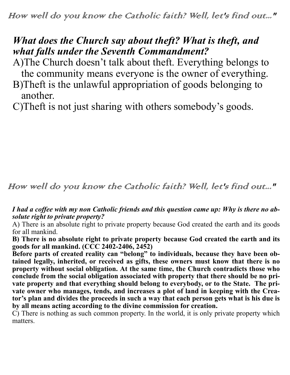How well do you know the Catholic faith? Well, let's find out..."

## *What does the Church say about theft? What is theft, and what falls under the Seventh Commandment?*

A)The Church doesn't talk about theft. Everything belongs to the community means everyone is the owner of everything.

- B)Theft is the unlawful appropriation of goods belonging to another.
- C)Theft is not just sharing with others somebody's goods.

## How well do you know the Catholic faith? Well, let's find out..."

## *I had a coffee with my non Catholic friends and this question came up: Why is there no absolute right to private property?*

A) There is an absolute right to private property because God created the earth and its goods for all mankind.

**B) There is no absolute right to private property because God created the earth and its goods for all mankind. (CCC 2402-2406, 2452)**

Before parts of created reality can "belong" to individuals, because they have been ob**tained legally, inherited, or received as gifts, these owners must know that there is no property without social obligation. At the same time, the Church contradicts those who conclude from the social obligation associated with property that there should be no private property and that everything should belong to everybody, or to the State. The private owner who manages, tends, and increases a plot of land in keeping with the Creator's plan and divides the proceeds in such a way that each person gets what is his due is by all means acting according to the divine commission for creation.**

C) There is nothing as such common property. In the world, it is only private property which matters.